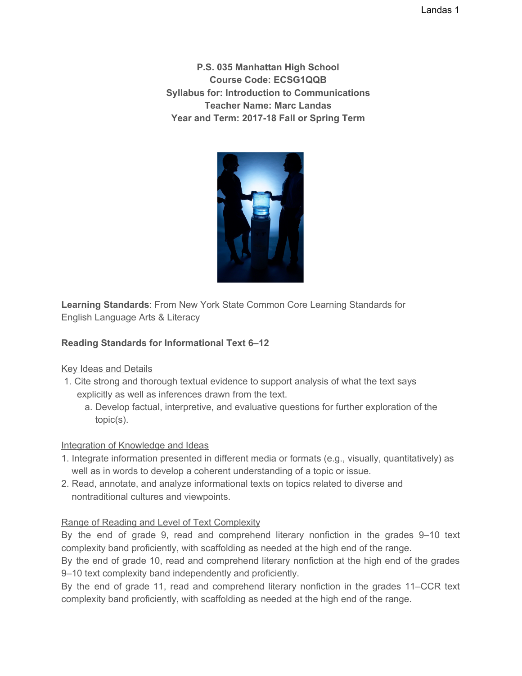Landas 1

**P.S. 035 Manhattan High School Course Code: ECSG1QQB Syllabus for: Introduction to Communications Teacher Name: Marc Landas Year and Term: 2017-18 Fall or Spring Term**



**Learning Standards**: From New York State Common Core Learning Standards for English Language Arts & Literacy

# **Reading Standards for Informational Text 6–12**

Key Ideas and Details

- 1. Cite strong and thorough textual evidence to support analysis of what the text says explicitly as well as inferences drawn from the text.
	- a. Develop factual, interpretive, and evaluative questions for further exploration of the topic(s).

## Integration of Knowledge and Ideas

- 1. Integrate information presented in different media or formats (e.g., visually, quantitatively) as well as in words to develop a coherent understanding of a topic or issue.
- 2. Read, annotate, and analyze informational texts on topics related to diverse and nontraditional cultures and viewpoints.

## Range of Reading and Level of Text Complexity

By the end of grade 9, read and comprehend literary nonfiction in the grades 9–10 text complexity band proficiently, with scaffolding as needed at the high end of the range.

By the end of grade 10, read and comprehend literary nonfiction at the high end of the grades 9–10 text complexity band independently and proficiently.

By the end of grade 11, read and comprehend literary nonfiction in the grades 11–CCR text complexity band proficiently, with scaffolding as needed at the high end of the range.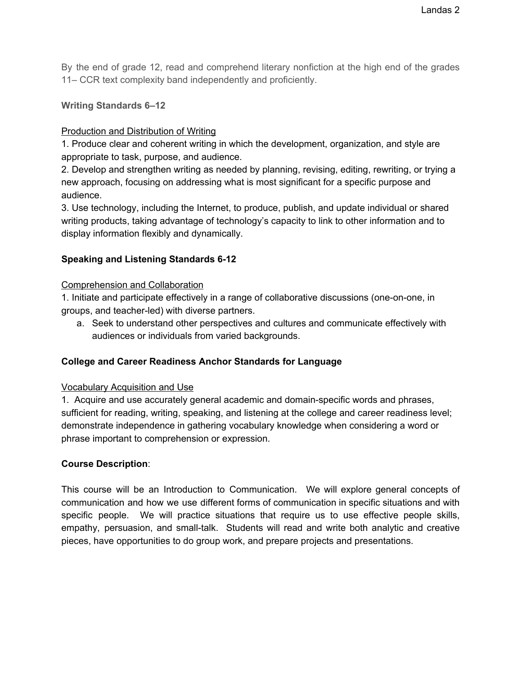By the end of grade 12, read and comprehend literary nonfiction at the high end of the grades 11– CCR text complexity band independently and proficiently.

#### **Writing Standards 6–12**

### Production and Distribution of Writing

1. Produce clear and coherent writing in which the development, organization, and style are appropriate to task, purpose, and audience.

2. Develop and strengthen writing as needed by planning, revising, editing, rewriting, or trying a new approach, focusing on addressing what is most significant for a specific purpose and audience.

3. Use technology, including the Internet, to produce, publish, and update individual or shared writing products, taking advantage of technology's capacity to link to other information and to display information flexibly and dynamically.

### **Speaking and Listening Standards 6-12**

#### Comprehension and Collaboration

1. Initiate and participate effectively in a range of collaborative discussions (one-on-one, in groups, and teacher-led) with diverse partners.

a. Seek to understand other perspectives and cultures and communicate effectively with audiences or individuals from varied backgrounds.

## **College and Career Readiness Anchor Standards for Language**

#### Vocabulary Acquisition and Use

1. Acquire and use accurately general academic and domain-specific words and phrases, sufficient for reading, writing, speaking, and listening at the college and career readiness level; demonstrate independence in gathering vocabulary knowledge when considering a word or phrase important to comprehension or expression.

#### **Course Description**:

This course will be an Introduction to Communication. We will explore general concepts of communication and how we use different forms of communication in specific situations and with specific people. We will practice situations that require us to use effective people skills, empathy, persuasion, and small-talk. Students will read and write both analytic and creative pieces, have opportunities to do group work, and prepare projects and presentations.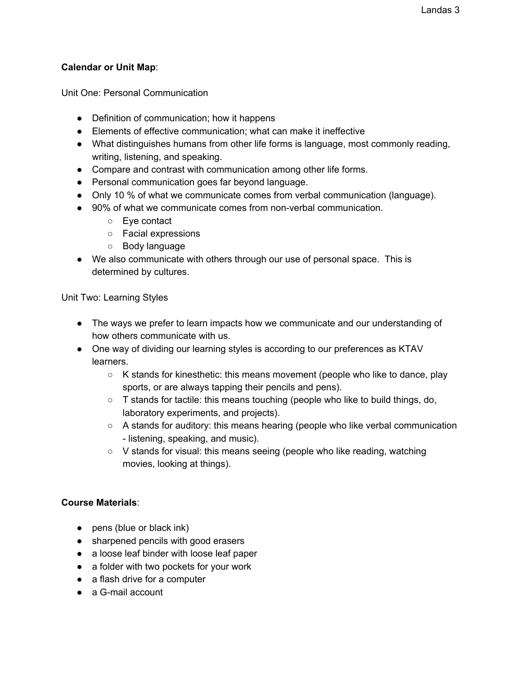#### **Calendar or Unit Map**:

Unit One: Personal Communication

- Definition of communication; how it happens
- Elements of effective communication; what can make it ineffective
- What distinguishes humans from other life forms is language, most commonly reading, writing, listening, and speaking.
- Compare and contrast with communication among other life forms.
- Personal communication goes far beyond language.
- Only 10 % of what we communicate comes from verbal communication (language).
- 90% of what we communicate comes from non-verbal communication.
	- Eye contact
	- Facial expressions
	- Body language
- We also communicate with others through our use of personal space. This is determined by cultures.

Unit Two: Learning Styles

- The ways we prefer to learn impacts how we communicate and our understanding of how others communicate with us.
- One way of dividing our learning styles is according to our preferences as KTAV learners.
	- K stands for kinesthetic: this means movement (people who like to dance, play sports, or are always tapping their pencils and pens).
	- $\circ$  T stands for tactile: this means touching (people who like to build things, do, laboratory experiments, and projects).
	- A stands for auditory: this means hearing (people who like verbal communication - listening, speaking, and music).
	- $\circ$  V stands for visual: this means seeing (people who like reading, watching movies, looking at things).

#### **Course Materials**:

- pens (blue or black ink)
- sharpened pencils with good erasers
- a loose leaf binder with loose leaf paper
- a folder with two pockets for your work
- a flash drive for a computer
- a G-mail account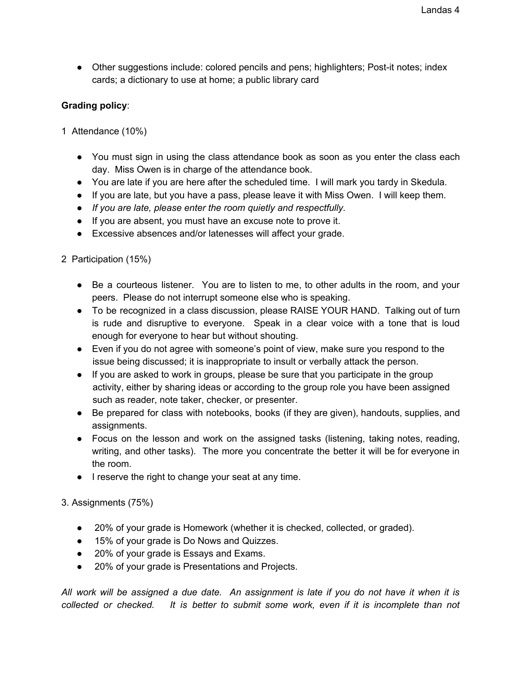● Other suggestions include: colored pencils and pens; highlighters; Post-it notes; index cards; a dictionary to use at home; a public library card

#### **Grading policy**:

- 1 Attendance (10%)
	- You must sign in using the class attendance book as soon as you enter the class each day. Miss Owen is in charge of the attendance book.
	- You are late if you are here after the scheduled time. I will mark you tardy in Skedula.
	- If you are late, but you have a pass, please leave it with Miss Owen. I will keep them.
	- *● If you are late, please enter the room quietly and respectfully.*
	- If you are absent, you must have an excuse note to prove it.
	- Excessive absences and/or latenesses will affect your grade.
- 2 Participation (15%)
	- Be a courteous listener. You are to listen to me, to other adults in the room, and your peers. Please do not interrupt someone else who is speaking.
	- To be recognized in a class discussion, please RAISE YOUR HAND. Talking out of turn is rude and disruptive to everyone. Speak in a clear voice with a tone that is loud enough for everyone to hear but without shouting.
	- Even if you do not agree with someone's point of view, make sure you respond to the issue being discussed; it is inappropriate to insult or verbally attack the person.
	- If you are asked to work in groups, please be sure that you participate in the group activity, either by sharing ideas or according to the group role you have been assigned such as reader, note taker, checker, or presenter.
	- Be prepared for class with notebooks, books (if they are given), handouts, supplies, and assignments.
	- Focus on the lesson and work on the assigned tasks (listening, taking notes, reading, writing, and other tasks). The more you concentrate the better it will be for everyone in the room.
	- I reserve the right to change your seat at any time.

#### 3. Assignments (75%)

- 20% of your grade is Homework (whether it is checked, collected, or graded).
- 15% of your grade is Do Nows and Quizzes.
- 20% of your grade is Essays and Exams.
- 20% of your grade is Presentations and Projects.

All work will be assigned a due date. An assignment is late if you do not have it when it is *collected or checked. It is better to submit some work, even if it is incomplete than not*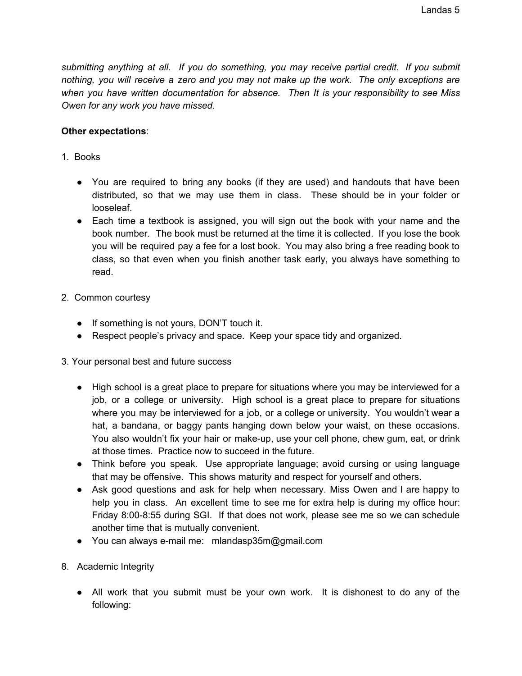*submitting anything at all. If you do something, you may receive partial credit. If you submit nothing, you will receive a zero and you may not make up the work. The only exceptions are when you have written documentation for absence. Then It is your responsibility to see Miss Owen for any work you have missed.*

#### **Other expectations**:

- 1. Books
	- You are required to bring any books (if they are used) and handouts that have been distributed, so that we may use them in class. These should be in your folder or looseleaf.
	- Each time a textbook is assigned, you will sign out the book with your name and the book number. The book must be returned at the time it is collected. If you lose the book you will be required pay a fee for a lost book. You may also bring a free reading book to class, so that even when you finish another task early, you always have something to read.
- 2. Common courtesy
	- If something is not yours, DON'T touch it.
	- Respect people's privacy and space. Keep your space tidy and organized.
- 3. Your personal best and future success
	- High school is a great place to prepare for situations where you may be interviewed for a job, or a college or university. High school is a great place to prepare for situations where you may be interviewed for a job, or a college or university. You wouldn't wear a hat, a bandana, or baggy pants hanging down below your waist, on these occasions. You also wouldn't fix your hair or make-up, use your cell phone, chew gum, eat, or drink at those times. Practice now to succeed in the future.
	- Think before you speak. Use appropriate language; avoid cursing or using language that may be offensive. This shows maturity and respect for yourself and others.
	- Ask good questions and ask for help when necessary. Miss Owen and I are happy to help you in class. An excellent time to see me for extra help is during my office hour: Friday 8:00-8:55 during SGI. If that does not work, please see me so we can schedule another time that is mutually convenient.
	- You can always e-mail me: mlandasp35m@gmail.com
- 8. Academic Integrity
	- All work that you submit must be your own work. It is dishonest to do any of the following: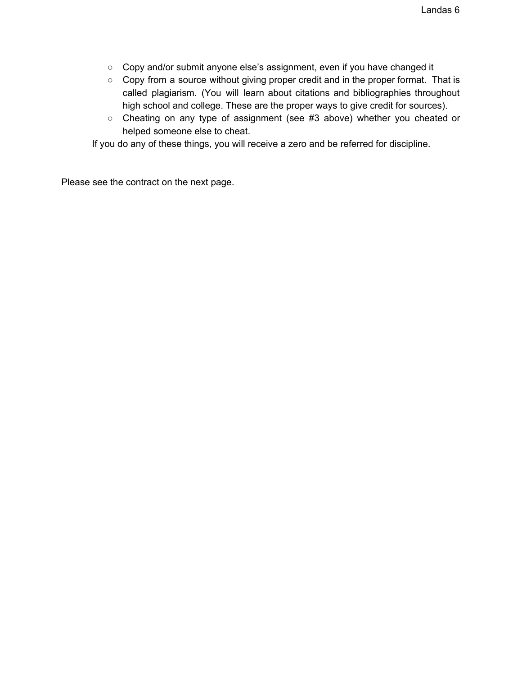- Copy and/or submit anyone else's assignment, even if you have changed it
- Copy from a source without giving proper credit and in the proper format. That is called plagiarism. (You will learn about citations and bibliographies throughout high school and college. These are the proper ways to give credit for sources).
- Cheating on any type of assignment (see #3 above) whether you cheated or helped someone else to cheat.

If you do any of these things, you will receive a zero and be referred for discipline.

Please see the contract on the next page.